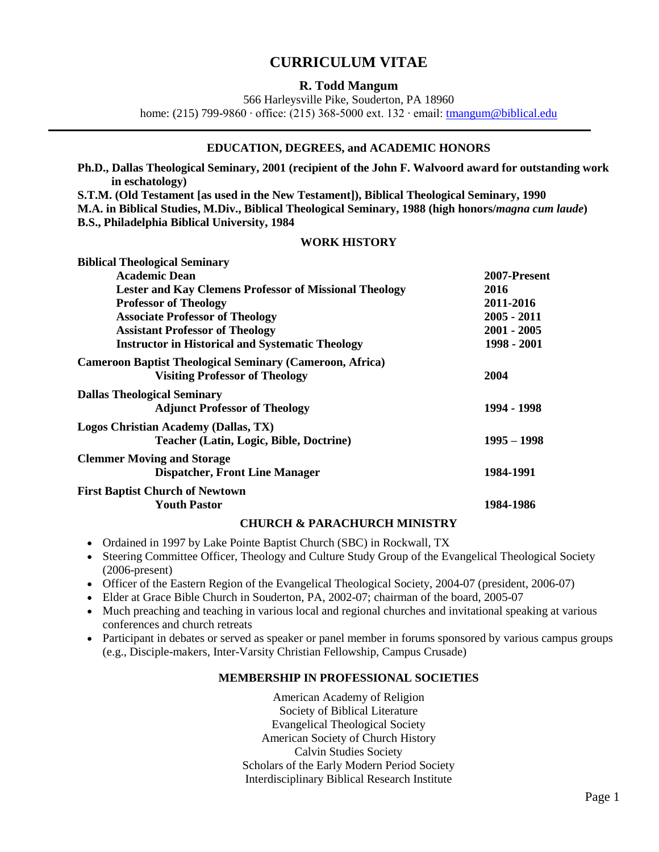# **CURRICULUM VITAE**

# **R. Todd Mangum**

566 Harleysville Pike, Souderton, PA 18960

home: (215) 799-9860 ∙ office: (215) 368-5000 ext. 132 ∙ email: [tmangum@biblical.edu](mailto:tmangum@biblical.edu)

# **EDUCATION, DEGREES, and ACADEMIC HONORS**

**Ph.D., Dallas Theological Seminary, 2001 (recipient of the John F. Walvoord award for outstanding work in eschatology)**

**S.T.M. (Old Testament [as used in the New Testament]), Biblical Theological Seminary, 1990 M.A. in Biblical Studies, M.Div., Biblical Theological Seminary, 1988 (high honors/***magna cum laude***) B.S., Philadelphia Biblical University, 1984**

# **WORK HISTORY**

| <b>Biblical Theological Seminary</b>                            |               |
|-----------------------------------------------------------------|---------------|
| <b>Academic Dean</b>                                            | 2007-Present  |
| <b>Lester and Kay Clemens Professor of Missional Theology</b>   | 2016          |
| <b>Professor of Theology</b>                                    | 2011-2016     |
| <b>Associate Professor of Theology</b>                          | $2005 - 2011$ |
| <b>Assistant Professor of Theology</b>                          | $2001 - 2005$ |
| <b>Instructor in Historical and Systematic Theology</b>         | 1998 - 2001   |
| <b>Cameroon Baptist Theological Seminary (Cameroon, Africa)</b> |               |
| <b>Visiting Professor of Theology</b>                           | 2004          |
| <b>Dallas Theological Seminary</b>                              |               |
| <b>Adjunct Professor of Theology</b>                            | 1994 - 1998   |
| Logos Christian Academy (Dallas, TX)                            |               |
| <b>Teacher (Latin, Logic, Bible, Doctrine)</b>                  | $1995 - 1998$ |
| <b>Clemmer Moving and Storage</b>                               |               |
| <b>Dispatcher, Front Line Manager</b>                           | 1984-1991     |
| <b>First Baptist Church of Newtown</b>                          |               |
| <b>Youth Pastor</b>                                             | 1984-1986     |

#### **CHURCH & PARACHURCH MINISTRY**

- Ordained in 1997 by Lake Pointe Baptist Church (SBC) in Rockwall, TX
- Steering Committee Officer, Theology and Culture Study Group of the Evangelical Theological Society (2006-present)
- Officer of the Eastern Region of the Evangelical Theological Society, 2004-07 (president, 2006-07)
- Elder at Grace Bible Church in Souderton, PA, 2002-07; chairman of the board, 2005-07
- Much preaching and teaching in various local and regional churches and invitational speaking at various conferences and church retreats
- Participant in debates or served as speaker or panel member in forums sponsored by various campus groups (e.g., Disciple-makers, Inter-Varsity Christian Fellowship, Campus Crusade)

# **MEMBERSHIP IN PROFESSIONAL SOCIETIES**

American Academy of Religion Society of Biblical Literature Evangelical Theological Society American Society of Church History Calvin Studies Society Scholars of the Early Modern Period Society Interdisciplinary Biblical Research Institute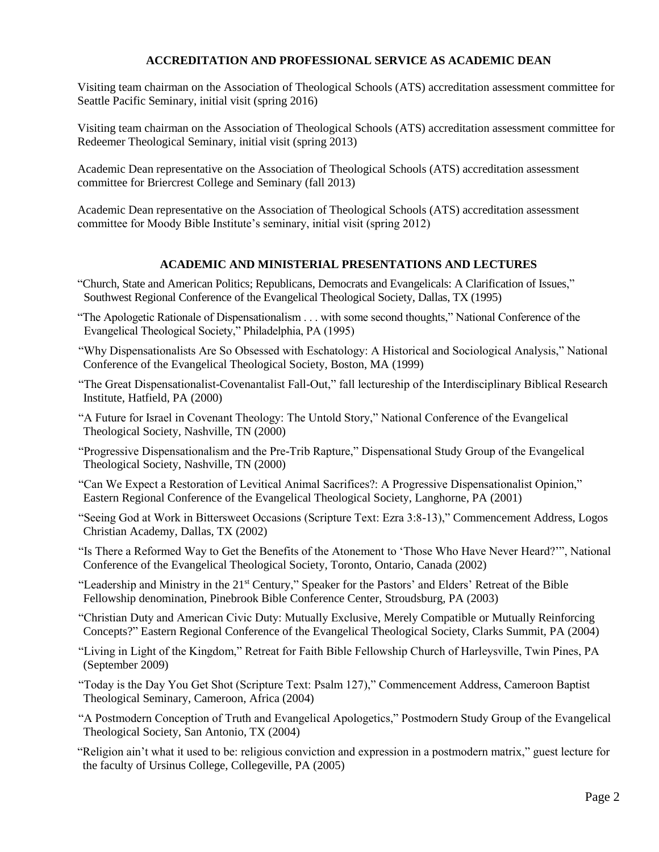# **ACCREDITATION AND PROFESSIONAL SERVICE AS ACADEMIC DEAN**

Visiting team chairman on the Association of Theological Schools (ATS) accreditation assessment committee for Seattle Pacific Seminary, initial visit (spring 2016)

Visiting team chairman on the Association of Theological Schools (ATS) accreditation assessment committee for Redeemer Theological Seminary, initial visit (spring 2013)

Academic Dean representative on the Association of Theological Schools (ATS) accreditation assessment committee for Briercrest College and Seminary (fall 2013)

Academic Dean representative on the Association of Theological Schools (ATS) accreditation assessment committee for Moody Bible Institute's seminary, initial visit (spring 2012)

### **ACADEMIC AND MINISTERIAL PRESENTATIONS AND LECTURES**

- "Church, State and American Politics; Republicans, Democrats and Evangelicals: A Clarification of Issues," Southwest Regional Conference of the Evangelical Theological Society, Dallas, TX (1995)
- "The Apologetic Rationale of Dispensationalism . . . with some second thoughts," National Conference of the Evangelical Theological Society," Philadelphia, PA (1995)
- "Why Dispensationalists Are So Obsessed with Eschatology: A Historical and Sociological Analysis," National Conference of the Evangelical Theological Society, Boston, MA (1999)
- "The Great Dispensationalist-Covenantalist Fall-Out," fall lectureship of the Interdisciplinary Biblical Research Institute, Hatfield, PA (2000)
- "A Future for Israel in Covenant Theology: The Untold Story," National Conference of the Evangelical Theological Society, Nashville, TN (2000)
- "Progressive Dispensationalism and the Pre-Trib Rapture," Dispensational Study Group of the Evangelical Theological Society, Nashville, TN (2000)
- "Can We Expect a Restoration of Levitical Animal Sacrifices?: A Progressive Dispensationalist Opinion," Eastern Regional Conference of the Evangelical Theological Society, Langhorne, PA (2001)
- "Seeing God at Work in Bittersweet Occasions (Scripture Text: Ezra 3:8-13)," Commencement Address, Logos Christian Academy, Dallas, TX (2002)
- "Is There a Reformed Way to Get the Benefits of the Atonement to 'Those Who Have Never Heard?'", National Conference of the Evangelical Theological Society, Toronto, Ontario, Canada (2002)
- "Leadership and Ministry in the 21st Century," Speaker for the Pastors' and Elders' Retreat of the Bible Fellowship denomination, Pinebrook Bible Conference Center, Stroudsburg, PA (2003)
- "Christian Duty and American Civic Duty: Mutually Exclusive, Merely Compatible or Mutually Reinforcing Concepts?" Eastern Regional Conference of the Evangelical Theological Society, Clarks Summit, PA (2004)
- "Living in Light of the Kingdom," Retreat for Faith Bible Fellowship Church of Harleysville, Twin Pines, PA (September 2009)
- "Today is the Day You Get Shot (Scripture Text: Psalm 127)," Commencement Address, Cameroon Baptist Theological Seminary, Cameroon, Africa (2004)
- "A Postmodern Conception of Truth and Evangelical Apologetics," Postmodern Study Group of the Evangelical Theological Society, San Antonio, TX (2004)
- "Religion ain't what it used to be: religious conviction and expression in a postmodern matrix," guest lecture for the faculty of Ursinus College, Collegeville, PA (2005)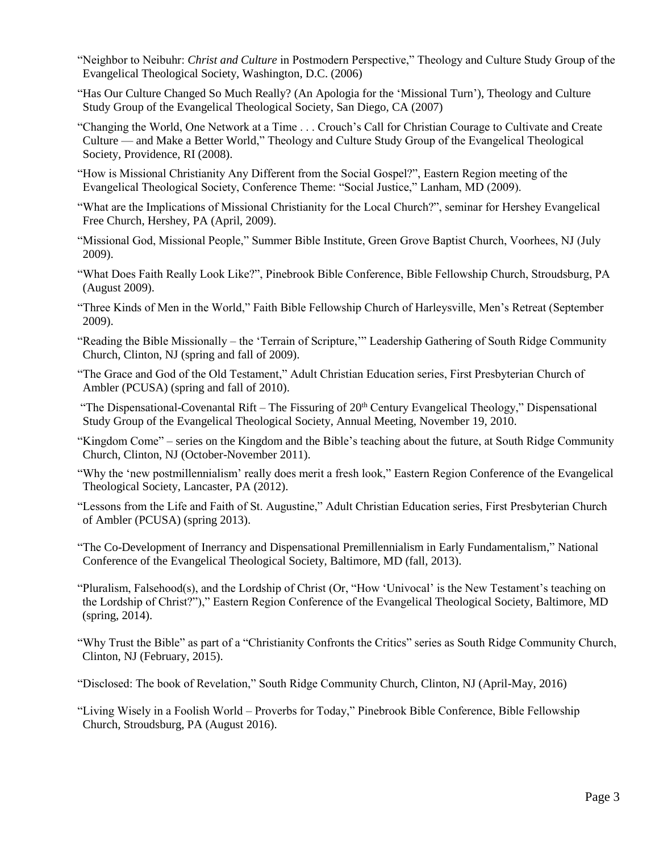- "Neighbor to Neibuhr: *Christ and Culture* in Postmodern Perspective," Theology and Culture Study Group of the Evangelical Theological Society, Washington, D.C. (2006)
- "Has Our Culture Changed So Much Really? (An Apologia for the 'Missional Turn'), Theology and Culture Study Group of the Evangelical Theological Society, San Diego, CA (2007)
- "Changing the World, One Network at a Time . . . Crouch's Call for Christian Courage to Cultivate and Create Culture — and Make a Better World," Theology and Culture Study Group of the Evangelical Theological Society, Providence, RI (2008).
- "How is Missional Christianity Any Different from the Social Gospel?", Eastern Region meeting of the Evangelical Theological Society, Conference Theme: "Social Justice," Lanham, MD (2009).
- "What are the Implications of Missional Christianity for the Local Church?", seminar for Hershey Evangelical Free Church, Hershey, PA (April, 2009).
- "Missional God, Missional People," Summer Bible Institute, Green Grove Baptist Church, Voorhees, NJ (July 2009).
- "What Does Faith Really Look Like?", Pinebrook Bible Conference, Bible Fellowship Church, Stroudsburg, PA (August 2009).
- "Three Kinds of Men in the World," Faith Bible Fellowship Church of Harleysville, Men's Retreat (September 2009).
- "Reading the Bible Missionally the 'Terrain of Scripture,'" Leadership Gathering of South Ridge Community Church, Clinton, NJ (spring and fall of 2009).
- "The Grace and God of the Old Testament," Adult Christian Education series, First Presbyterian Church of Ambler (PCUSA) (spring and fall of 2010).
- "The Dispensational-Covenantal Rift The Fissuring of  $20<sup>th</sup>$  Century Evangelical Theology," Dispensational Study Group of the Evangelical Theological Society, Annual Meeting, November 19, 2010.
- "Kingdom Come" series on the Kingdom and the Bible's teaching about the future, at South Ridge Community Church, Clinton, NJ (October-November 2011).
- "Why the 'new postmillennialism' really does merit a fresh look," Eastern Region Conference of the Evangelical Theological Society, Lancaster, PA (2012).
- "Lessons from the Life and Faith of St. Augustine," Adult Christian Education series, First Presbyterian Church of Ambler (PCUSA) (spring 2013).
- "The Co-Development of Inerrancy and Dispensational Premillennialism in Early Fundamentalism," National Conference of the Evangelical Theological Society, Baltimore, MD (fall, 2013).
- "Pluralism, Falsehood(s), and the Lordship of Christ (Or, "How 'Univocal' is the New Testament's teaching on the Lordship of Christ?")," Eastern Region Conference of the Evangelical Theological Society, Baltimore, MD (spring, 2014).
- "Why Trust the Bible" as part of a "Christianity Confronts the Critics" series as South Ridge Community Church, Clinton, NJ (February, 2015).
- "Disclosed: The book of Revelation," South Ridge Community Church, Clinton, NJ (April-May, 2016)
- "Living Wisely in a Foolish World Proverbs for Today," Pinebrook Bible Conference, Bible Fellowship Church, Stroudsburg, PA (August 2016).